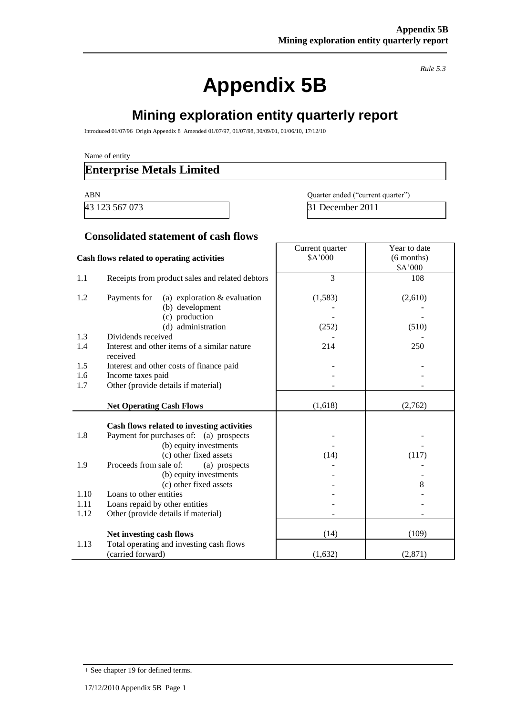*Rule 5.3*

٦

# **Appendix 5B**

# **Mining exploration entity quarterly report**

 $\Gamma$ 

Introduced 01/07/96 Origin Appendix 8 Amended 01/07/97, 01/07/98, 30/09/01, 01/06/10, 17/12/10

Name of entity

### **Enterprise Metals Limited**

ABN Quarter ended ("current quarter") 43 123 567 073 31 December 2011

#### **Consolidated statement of cash flows**

|      |                                                 | Current quarter | Year to date |
|------|-------------------------------------------------|-----------------|--------------|
|      | Cash flows related to operating activities      | \$A'000         | $(6$ months) |
|      |                                                 |                 | \$A'000      |
| 1.1  | Receipts from product sales and related debtors | 3               | 108          |
|      |                                                 |                 |              |
| 1.2  | Payments for<br>(a) exploration $&$ evaluation  | (1,583)         | (2,610)      |
|      | (b) development                                 |                 |              |
|      | (c) production                                  |                 |              |
|      | (d) administration                              | (252)           | (510)        |
| 1.3  | Dividends received                              |                 |              |
| 1.4  | Interest and other items of a similar nature    | 214             | 250          |
|      | received                                        |                 |              |
| 1.5  | Interest and other costs of finance paid        |                 |              |
| 1.6  | Income taxes paid                               |                 |              |
| 1.7  | Other (provide details if material)             |                 |              |
|      | <b>Net Operating Cash Flows</b>                 | (1,618)         | (2,762)      |
|      |                                                 |                 |              |
|      | Cash flows related to investing activities      |                 |              |
| 1.8  | Payment for purchases of: (a) prospects         |                 |              |
|      | (b) equity investments                          |                 |              |
|      | (c) other fixed assets                          | (14)            | (117)        |
| 1.9  | Proceeds from sale of:<br>(a) prospects         |                 |              |
|      | (b) equity investments                          |                 |              |
|      | (c) other fixed assets                          |                 | 8            |
| 1.10 | Loans to other entities                         |                 |              |
| 1.11 | Loans repaid by other entities                  |                 |              |
| 1.12 | Other (provide details if material)             |                 |              |
|      | Net investing cash flows                        | (14)            | (109)        |
| 1.13 | Total operating and investing cash flows        |                 |              |
|      | (carried forward)                               | (1,632)         | (2, 871)     |

<sup>+</sup> See chapter 19 for defined terms.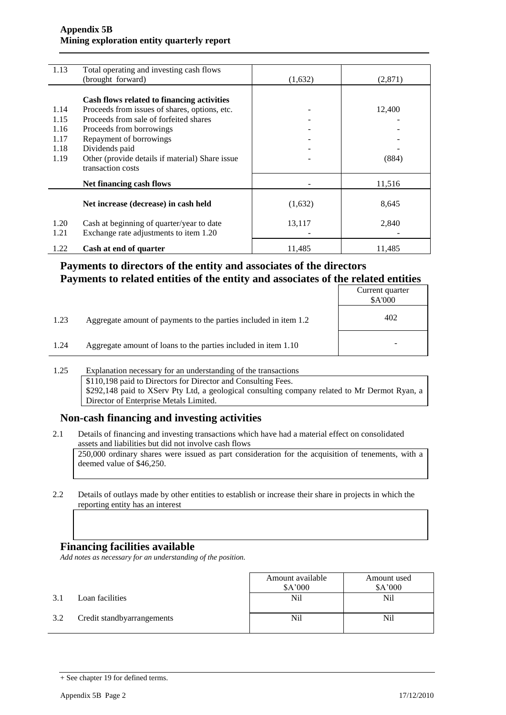#### **Appendix 5B Mining exploration entity quarterly report**

| 1.13 | Total operating and investing cash flows        |         |         |
|------|-------------------------------------------------|---------|---------|
|      | (brought forward)                               | (1,632) | (2,871) |
|      |                                                 |         |         |
|      | Cash flows related to financing activities      |         |         |
| 1.14 | Proceeds from issues of shares, options, etc.   |         | 12,400  |
| 1.15 | Proceeds from sale of forfeited shares          |         |         |
| 1.16 | Proceeds from borrowings                        |         |         |
| 1.17 | Repayment of borrowings                         |         |         |
| 1.18 | Dividends paid                                  |         |         |
| 1.19 | Other (provide details if material) Share issue |         | (884)   |
|      | transaction costs                               |         |         |
|      |                                                 |         |         |
|      | Net financing cash flows                        |         | 11,516  |
|      |                                                 |         |         |
|      | Net increase (decrease) in cash held            | (1,632) | 8,645   |
|      |                                                 |         |         |
| 1.20 | Cash at beginning of quarter/year to date       | 13,117  | 2,840   |
| 1.21 | Exchange rate adjustments to item 1.20          |         |         |
|      |                                                 |         |         |
| 1.22 | Cash at end of quarter                          | 11,485  | 11,485  |

### **Payments to directors of the entity and associates of the directors Payments to related entities of the entity and associates of the related entities**

|      |                                                                  | Current quarter<br>\$A'000 |
|------|------------------------------------------------------------------|----------------------------|
| 1.23 | Aggregate amount of payments to the parties included in item 1.2 | 402                        |
| 1.24 | Aggregate amount of loans to the parties included in item 1.10   | -                          |

#### 1.25 Explanation necessary for an understanding of the transactions \$110,198 paid to Directors for Director and Consulting Fees. \$292,148 paid to XServ Pty Ltd, a geological consulting company related to Mr Dermot Ryan, a Director of Enterprise Metals Limited.

#### **Non-cash financing and investing activities**

2.1 Details of financing and investing transactions which have had a material effect on consolidated assets and liabilities but did not involve cash flows

250,000 ordinary shares were issued as part consideration for the acquisition of tenements, with a deemed value of \$46,250.

2.2 Details of outlays made by other entities to establish or increase their share in projects in which the reporting entity has an interest

#### **Financing facilities available**

*Add notes as necessary for an understanding of the position.*

|     |                            | Amount available<br>\$A'000 | Amount used<br>\$A'000 |
|-----|----------------------------|-----------------------------|------------------------|
| 3.1 | Loan facilities            | Nil                         | Nil                    |
| 3.2 | Credit standbyarrangements | Nil                         | Nil                    |

<sup>+</sup> See chapter 19 for defined terms.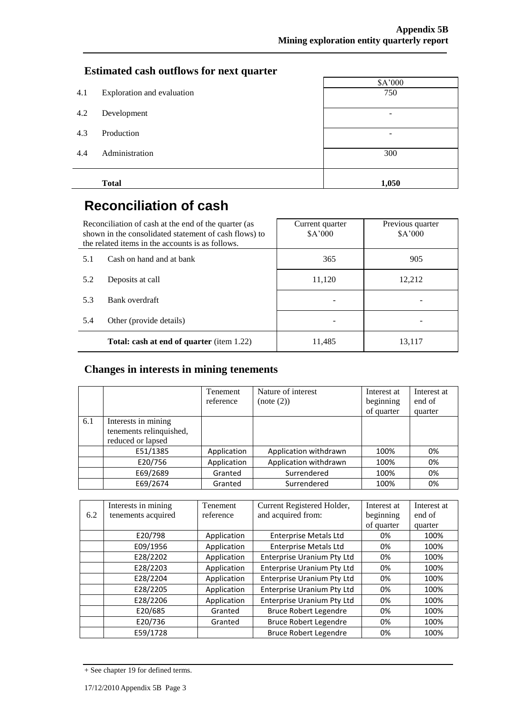### **Estimated cash outflows for next quarter**

| 4.1 | Exploration and evaluation | \$A'000<br>750 |
|-----|----------------------------|----------------|
| 4.2 | Development                | -              |
| 4.3 | Production                 | -              |
| 4.4 | Administration             | 300            |
|     | <b>Total</b>               | 1,050          |

# **Reconciliation of cash**

| Reconciliation of cash at the end of the quarter (as<br>shown in the consolidated statement of cash flows) to<br>the related items in the accounts is as follows. |                          | Current quarter<br>\$A'000 | Previous quarter<br>\$A'000 |
|-------------------------------------------------------------------------------------------------------------------------------------------------------------------|--------------------------|----------------------------|-----------------------------|
| 5.1                                                                                                                                                               | Cash on hand and at bank | 365                        | 905                         |
| 5.2                                                                                                                                                               | Deposits at call         | 11,120                     | 12,212                      |
| 5.3                                                                                                                                                               | Bank overdraft           |                            |                             |
| 5.4                                                                                                                                                               | Other (provide details)  |                            |                             |
| <b>Total: cash at end of quarter</b> (item 1.22)                                                                                                                  |                          | 11,485                     | 13,117                      |

### **Changes in interests in mining tenements**

|     |                                                                     | Tenement<br>reference | Nature of interest<br>(note (2)) | Interest at<br>beginning<br>of quarter | Interest at<br>end of<br>quarter |
|-----|---------------------------------------------------------------------|-----------------------|----------------------------------|----------------------------------------|----------------------------------|
| 6.1 | Interests in mining<br>tenements relinquished,<br>reduced or lapsed |                       |                                  |                                        |                                  |
|     | E51/1385                                                            | Application           | Application withdrawn            | 100%                                   | 0%                               |
|     | E20/756                                                             | Application           | Application withdrawn            | 100%                                   | 0%                               |
|     | E69/2689                                                            | Granted               | Surrendered                      | 100%                                   | 0%                               |
|     | E69/2674                                                            | Granted               | Surrendered                      | 100%                                   | 0%                               |

|     | Interests in mining | <b>Tenement</b> | Current Registered Holder,        | Interest at | Interest at |
|-----|---------------------|-----------------|-----------------------------------|-------------|-------------|
| 6.2 | tenements acquired  | reference       | and acquired from:                | beginning   | end of      |
|     |                     |                 |                                   | of quarter  | quarter     |
|     | E20/798             | Application     | <b>Enterprise Metals Ltd</b>      | 0%          | 100%        |
|     | E09/1956            | Application     | <b>Enterprise Metals Ltd</b>      | 0%          | 100%        |
|     | E28/2202            | Application     | Enterprise Uranium Pty Ltd        | 0%          | 100%        |
|     | E28/2203            | Application     | <b>Enterprise Uranium Pty Ltd</b> | 0%          | 100%        |
|     | E28/2204            | Application     | <b>Enterprise Uranium Pty Ltd</b> | 0%          | 100%        |
|     | E28/2205            | Application     | <b>Enterprise Uranium Pty Ltd</b> | 0%          | 100%        |
|     | E28/2206            | Application     | <b>Enterprise Uranium Pty Ltd</b> | 0%          | 100%        |
|     | E20/685             | Granted         | <b>Bruce Robert Legendre</b>      | 0%          | 100%        |
|     | E20/736             | Granted         | <b>Bruce Robert Legendre</b>      | 0%          | 100%        |
|     | E59/1728            |                 | <b>Bruce Robert Legendre</b>      | 0%          | 100%        |

<sup>+</sup> See chapter 19 for defined terms.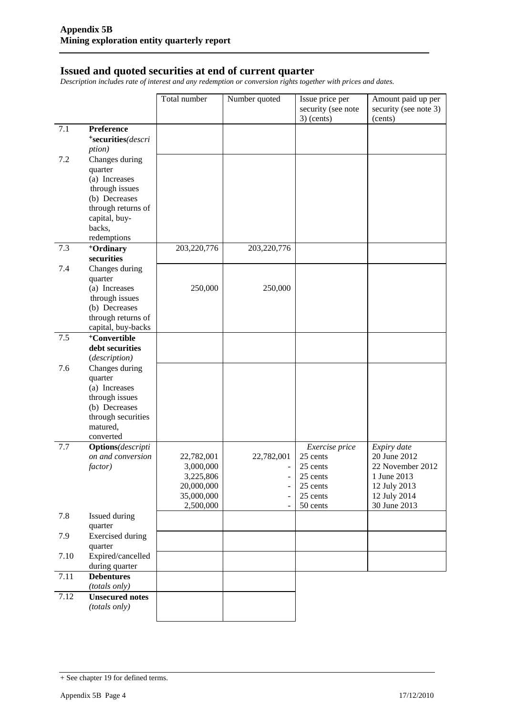#### **Issued and quoted securities at end of current quarter**

*Description includes rate of interest and any redemption or conversion rights together with prices and dates.*

|      |                                    | Total number | Number quoted            | Issue price per<br>security (see note<br>$3)$ (cents) | Amount paid up per<br>security (see note 3)<br>(cents) |
|------|------------------------------------|--------------|--------------------------|-------------------------------------------------------|--------------------------------------------------------|
| 7.1  | Preference                         |              |                          |                                                       |                                                        |
|      | *securities(descri                 |              |                          |                                                       |                                                        |
|      | <i>ption</i> )                     |              |                          |                                                       |                                                        |
| 7.2  | Changes during                     |              |                          |                                                       |                                                        |
|      | quarter                            |              |                          |                                                       |                                                        |
|      | (a) Increases                      |              |                          |                                                       |                                                        |
|      | through issues                     |              |                          |                                                       |                                                        |
|      | (b) Decreases                      |              |                          |                                                       |                                                        |
|      | through returns of                 |              |                          |                                                       |                                                        |
|      | capital, buy-                      |              |                          |                                                       |                                                        |
|      | backs,                             |              |                          |                                                       |                                                        |
|      | redemptions                        |              |                          |                                                       |                                                        |
| 7.3  | <sup>+</sup> Ordinary              | 203,220,776  | 203,220,776              |                                                       |                                                        |
|      | securities                         |              |                          |                                                       |                                                        |
| 7.4  | Changes during                     |              |                          |                                                       |                                                        |
|      | quarter<br>(a) Increases           | 250,000      | 250,000                  |                                                       |                                                        |
|      | through issues                     |              |                          |                                                       |                                                        |
|      | (b) Decreases                      |              |                          |                                                       |                                                        |
|      | through returns of                 |              |                          |                                                       |                                                        |
|      | capital, buy-backs                 |              |                          |                                                       |                                                        |
| 7.5  | <sup>+</sup> Convertible           |              |                          |                                                       |                                                        |
|      | debt securities                    |              |                          |                                                       |                                                        |
|      | (description)                      |              |                          |                                                       |                                                        |
| 7.6  | Changes during                     |              |                          |                                                       |                                                        |
|      | quarter                            |              |                          |                                                       |                                                        |
|      | (a) Increases                      |              |                          |                                                       |                                                        |
|      | through issues                     |              |                          |                                                       |                                                        |
|      | (b) Decreases                      |              |                          |                                                       |                                                        |
|      | through securities<br>matured,     |              |                          |                                                       |                                                        |
|      | converted                          |              |                          |                                                       |                                                        |
| 7.7  | <b>Options</b> (descripti          |              |                          | Exercise price                                        | Expiry date                                            |
|      | on and conversion                  | 22,782,001   | 22,782,001               | 25 cents                                              | 20 June 2012                                           |
|      | factor)                            | 3,000,000    |                          | 25 cents                                              | 22 November 2012                                       |
|      |                                    | 3,225,806    | $\overline{\phantom{a}}$ | 25 cents                                              | 1 June 2013                                            |
|      |                                    | 20,000,000   |                          | 25 cents                                              | 12 July 2013                                           |
|      |                                    | 35,000,000   |                          | 25 cents                                              | 12 July 2014                                           |
|      |                                    | 2,500,000    |                          | 50 cents                                              | 30 June 2013                                           |
| 7.8  | Issued during                      |              |                          |                                                       |                                                        |
|      | quarter                            |              |                          |                                                       |                                                        |
| 7.9  | <b>Exercised</b> during            |              |                          |                                                       |                                                        |
|      | quarter                            |              |                          |                                                       |                                                        |
| 7.10 | Expired/cancelled                  |              |                          |                                                       |                                                        |
| 7.11 | during quarter                     |              |                          |                                                       |                                                        |
|      | <b>Debentures</b><br>(totals only) |              |                          |                                                       |                                                        |
| 7.12 | <b>Unsecured notes</b>             |              |                          |                                                       |                                                        |
|      | (totals only)                      |              |                          |                                                       |                                                        |
|      |                                    |              |                          |                                                       |                                                        |

<sup>+</sup> See chapter 19 for defined terms.